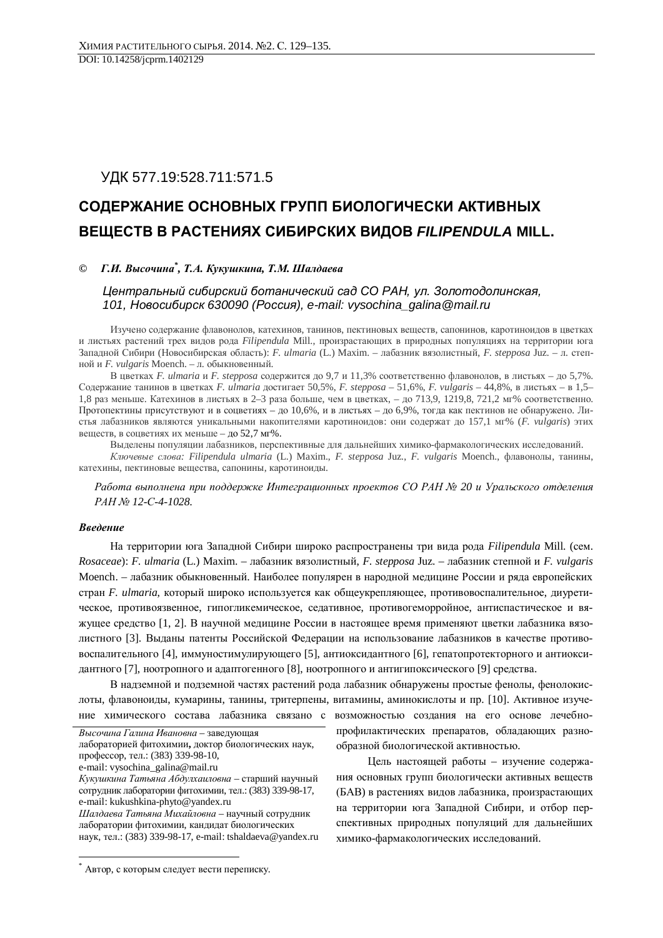# УДК 577.19:528.711:571.5

# СОДЕРЖАНИЕ ОСНОВНЫХ ГРУПП БИОЛОГИЧЕСКИ АКТИВНЫХ ВЕЩЕСТВ В РАСТЕНИЯХ СИБИРСКИХ ВИДОВ FILIPENDULA MILL.

## © *Г.И. Высочина<sup>\*</sup>, Т.А. Кукушкина, Т.М. Шалдаева*

## $B$ ентральный сибирский ботанический сад СО РАН, ул. Золотодолинская, *101, Новосибирск 630090 (Россия), e-mail: vysochina\_galina@mail.ru*

Изучено содержание флавонолов, катехинов, танинов, пектиновых веществ, сапонинов, каротиноидов в цветках и листьях растений трех видов рода Filipendula Mill., произрастающих в природных популяциях на территории юга Западной Сибири (Новосибирская область): *F. ulmaria* (L.) Maxim. – лабазник вязолистный, F. stepposa Juz. – л. степной и F. vulgaris Moench. – л. обыкновенный.

В цветках *F. ulmaria и F. stepposa* содержится до 9,7 и 11,3% соответственно флавонолов, в листьях – до 5,7%. Содержание танинов в цветках *F. ulmaria* достигает 50,5%, *F. stepposa* – 51,6%, *F. vulgaris* – 44,8%, в листьях – в 1,5– 1,8 раз меньше. Катехинов в листьях в 2–3 раза больше, чем в цветках, – до 713,9, 1219,8, 721,2 мг% соответственно. Протопектины присутствуют и в соцветиях – до 10,6%, и в листьях – до 6,9%, тогда как пектинов не обнаружено. Листья лабазников являются уникальными накопителями каротиноидов: они содержат до 157,1 мг% (F. vulgaris) этих веществ, в соцветиях их меньше – до 52,7 мг%.

Выделены популяции лабазников, перспективные для дальнейших химико-фармакологических исследований.

*Ключевые слова: Filipendula ulmaria* (L.) Maxim., *F. stepposa Juz., F. vulgaris* Moench., флавонолы, танины, катехины, пектиновые вещества, сапонины, каротиноиды.

Работа выполнена при поддержке Интеграционных проектов СО РАН № 20 и Уральского отделения *PAH № 12-C-4-1028.* 

## **Введение**

 $\overline{a}$ 

На территории юга Западной Сибири широко распространены три вида рода Filipendula Mill. (сем. *Rosaceae*): *F. ulmaria* (L.) Maxim. – лабазник вязолистный, *F. stepposa* Juz. – лабазник степной и *F. vulgaris* Moench. – лабазник обыкновенный. Наиболее популярен в народной медицине России и ряда европейских стран *F. ulmaria*, который широко используется как общеукрепляющее, противовоспалительное, диуретическое, противоязвенное, гипогликемическое, седативное, противогеморройное, антиспастическое и вяжущее средство [1, 2]. В научной медицине России в настоящее время применяют цветки лабазника вязолистного [3]. Выданы патенты Российской Федерации на использование лабазников в качестве противовоспалительного [4], иммуностимулирующего [5], антиоксидантного [6], гепатопротекторного и антиоксидантного [7], ноотропного и адаптогенного [8], ноотропного и антигипоксического [9] средства.

В надземной и подземной частях растений рода лабазник обнаружены простые фенолы, фенолокислоты, флавоноиды, кумарины, танины, тритерпены, витамины, аминокислоты и пр. [10]. Активное изучение химического состава лабазника связано с возможностью создания на его основе лечебно-

Высочина Галина Ивановна – завелующая лабораторией фитохимии, доктор биологических наук, профессор, тел.: (383) 339-98-10, e-mail: vysochina\_galina@mail.ru Кукушкина Татьяна Абдулхаиловна – старший научный сотрудник лаборатории фитохимии, тел.: (383) 339-98-17, e-mail: kukushkina-phyto@yandex.ru **Шалдаева Татьяна Михайловна** – научный сотрудник

лаборатории фитохимии, кандидат биологических наук, тел.: (383) 339-98-17, e-mail: tshaldaeva@yandex.ru профилактических препаратов, обладающих разнообразной биологической активностью.

Цель настоящей работы – изучение содержания основных групп биологически активных веществ (БАВ) в растениях видов лабазника, произрастающих на территории юга Западной Сибири, и отбор перспективных природных популяций для дальнейших химико-фармакологических исследований.

<sup>\*</sup> Автор, с которым следует вести переписку.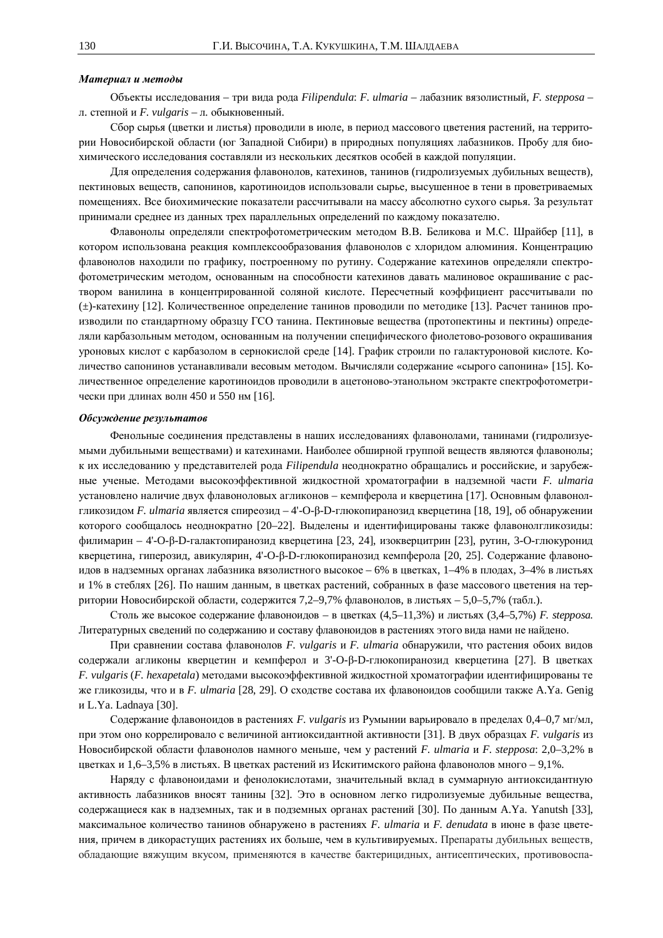### Материал и методы

Объекты исследования – три вида рода Filipendula: F. ulmaria – лабазник вязолистный, F. stepposa – л. степной и *F. vulgaris -* л. обыкновенный.

Сбор сырья (цветки и листья) проводили в июле, в период массового цветения растений, на территории Новосибирской области (юг Западной Сибири) в природных популяциях лабазников. Пробу для биохимического исследования составляли из нескольких десятков особей в каждой популяции.

Для определения содержания флавонолов, катехинов, танинов (гидролизуемых дубильных веществ), пектиновых веществ, сапонинов, каротиноидов использовали сырье, высушенное в тени в проветриваемых помещениях. Все биохимические показатели рассчитывали на массу абсолютно сухого сырья. За результат принимали среднее из данных трех параллельных определений по каждому показателю.

Флавонолы определяли спектрофотометрическим методом В.В. Беликова и М.С. Шрайбер [11], в котором использована реакция комплексообразования флавонолов с хлоридом алюминия. Концентрацию флавонолов находили по графику, построенному по рутину. Содержание катехинов определяли спектрофотометрическим методом, основанным на способности катехинов давать малиновое окрашивание с раствором ванилина в концентрированной соляной кислоте. Пересчетный коэффициент рассчитывали по (±)-катехину [12]. Количественное определение танинов проводили по методике [13]. Расчет танинов производили по стандартному образцу ГСО танина. Пектиновые вещества (протопектины и пектины) определяли карбазольным методом, основанным на получении специфического фиолетово-розового окрашивания уроновых кислот с карбазолом в сернокислой среде [14]. График строили по галактуроновой кислоте. Количество сапонинов устанавливали весовым методом. Вычисляли содержание «сырого сапонина» [15]. Количественное определение каротиноидов проводили в ацетоново-этанольном экстракте спектрофотометрически при длинах волн 450 и 550 нм [16].

#### Обсуждение результатов

Фенольные соединения представлены в наших исследованиях флавонолами, танинами (гидролизуемыми дубильными веществами) и катехинами. Наиболее обширной группой веществ являются флавонолы; к их исследованию у представителей рода Filipendula неоднократно обращались и российские, и зарубежные ученые. Методами высокоэффективной жидкостной хроматографии в надземной части F. ulmaria установлено наличие двух флавоноловых агликонов – кемпферола и кверцетина [17]. Основным флавонолгликозидом *F. ulmaria* является спиреозид – 4'-О-β-D-глюкопиранозид кверцетина [18, 19], об обнаружении которого сообщалось неоднократно [20–22]. Выделены и идентифицированы также флавонолгликозиды: филимарин – 4'-О-β-D-галактопиранозид кверцетина [23, 24], изокверцитрин [23], рутин, 3-О-глюкуронид кверцетина, гиперозид, авикулярин, 4'-О-β-D-глюкопиранозид кемпферола [20, 25]. Содержание флавоноидов в надземных органах лабазника вязолистного высокое – 6% в цветках, 1–4% в плодах, 3–4% в листьях и 1% в стеблях [26]. По нашим данным, в цветках растений, собранных в фазе массового цветения на территории Новосибирской области, содержится 7,2–9,7% флавонолов, в листьях - 5,0–5,7% (табл.).

Столь же высокое содержание флавоноидов – в цветках (4,5–11,3%) и листьях (3,4–5,7%) *F. stepposa.* Литературных сведений по содержанию и составу флавоноидов в растениях этого вида нами не найдено.

При сравнении состава флавонолов F. vulgaris и F. ulmaria обнаружили, что растения обоих видов содержали агликоны кверцетин и кемпферол и 3'-О-β-D-глюкопиранозид кверцетина [27]. В цветках *F. vulgaris* (*F. hexapetala*) методами высокоэффективной жидкостной хроматографии идентифицированы те же гликозиды, что и в F. ulmaria <sup>[28, 29].</sup> О сходстве состава их флавоноидов сообщили также A.Ya. Genig и L.Ya. Ladnaya [30].

Содержание флавоноидов в растениях F. vulgaris из Румынии варьировало в пределах 0,4–0,7 мг/мл, при этом оно коррелировало с величиной антиоксидантной активности [31]. В двух образцах F. vulgaris из Новосибирской области флавонолов намного меньше, чем у растений *F. ulmaria и F. stepposa*: 2,0–3,2% в цветках и 1,6–3,5% в листьях. В цветках растений из Искитимского района флавонолов много – 9,1%.

Наряду с флавоноидами и фенолокислотами, значительный вклад в суммарную антиоксидантную активность лабазников вносят танины [32]. Это в основном легко гидролизуемые дубильные вещества, содержащиеся как в надземных, так и в подземных органах растений [30]. По данным А.Ya. Yanutsh [33], максимальное количество танинов обнаружено в растениях *F. ulmaria и F. denudata* в июне в фазе цветения, причем в дикорастущих растениях их больше, чем в культивируемых. Препараты дубильных веществ, обладающие вяжущим вкусом, применяются в качестве бактерицидных, антисептических, противовоспа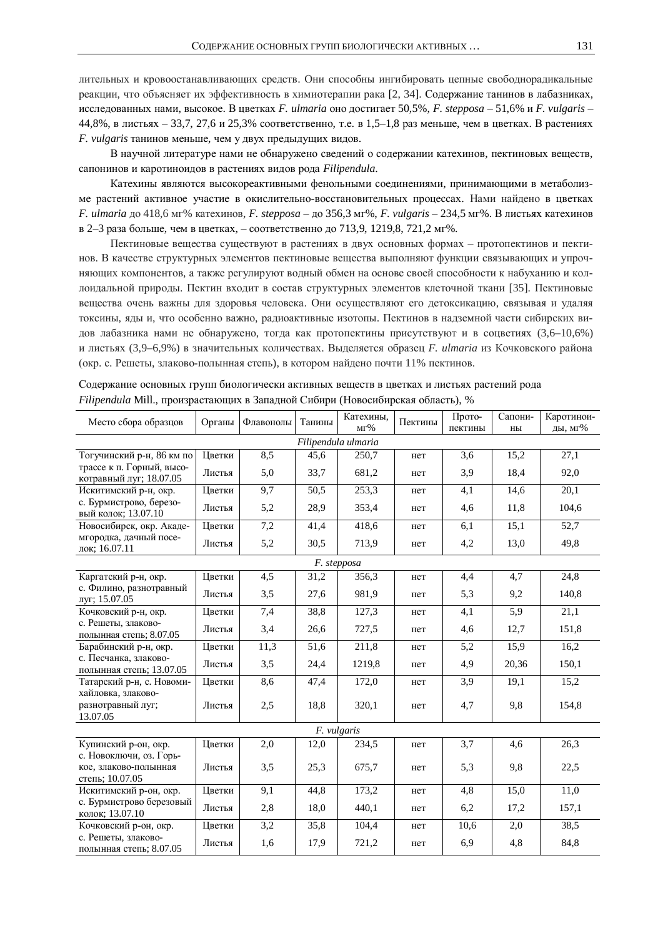лительных и кровоостанавливающих средств. Они способны ингибировать цепные свободнорадикальные реакции, что объясняет их эффективность в химиотерапии рака [2, 34]. Содержание танинов в лабазниках, исследованных нами, высокое. В цветках *F. ulmaria* оно достигает 50,5%, *F. stepposa –* 51,6% и *F. vulgaris* –  $44,8\%$ , в листьях – 33,7, 27,6 и 25,3% соответственно, т.е. в 1,5–1,8 раз меньше, чем в цветках. В растениях *F. vulgaris* танинов меньше, чем у двух предыдущих видов.

В научной литературе нами не обнаружено сведений о содержании катехинов, пектиновых веществ, сапонинов и каротиноидов в растениях видов рода Filipendula.

Катехины являются высокореактивными фенольными соединениями, принимающими в метаболизме растений активное участие в окислительно-восстановительных процессах. Нами найдено в цветках *F. ulmaria* до 418,6 мг% катехинов, *F. stepposa* – до 356,3 мг%, *F. vulgaris* – 234,5 мг%. В листьях катехинов в 2–3 раза больше, чем в цветках, – соответственно до 713,9, 1219,8, 721,2 мг%.

Пектиновые вещества существуют в растениях в двух основных формах – протопектинов и пектинов. В качестве структурных элементов пектиновые вещества выполняют функции связывающих и упрочняющих компонентов, а также регулируют водный обмен на основе своей способности к набуханию и коллоидальной природы. Пектин входит в состав структурных элементов клеточной ткани [35]. Пектиновые вещества очень важны для здоровья человека. Они осуществляют его детоксикацию, связывая и удаляя токсины, яды и, что особенно важно, радиоактивные изотопы. Пектинов в надземной части сибирских видов лабазника нами не обнаружено, тогда как протопектины присутствуют и в соцветиях (3,6–10,6%) и листьях (3,9–6,9%) в значительных количествах. Выделяется образец F. ulmaria из Кочковского района (окр. с. Решеты, злаково-полынная степь), в котором найдено почти 11% пектинов.

| Место сбора образцов                                 | Органы | Флавонолы | Танины            | Катехины,<br>MT% | Пектины | Прото-<br>пектины | Сапони-<br>ны | Каротинои-<br>ды, мг% |
|------------------------------------------------------|--------|-----------|-------------------|------------------|---------|-------------------|---------------|-----------------------|
| Filipendula ulmaria                                  |        |           |                   |                  |         |                   |               |                       |
| Тогучинский р-н, 86 км по                            | Цветки | 8,5       | 45,6              | 250,7            | нет     | 3,6               | 15,2          | 27,1                  |
| трассе к п. Горный, высо-<br>котравный луг; 18.07.05 | Листья | 5,0       | 33,7              | 681,2            | нет     | 3,9               | 18,4          | 92,0                  |
| Искитимский р-н, окр.                                | Цветки | 9,7       | 50,5              | 253,3            | нет     | 4,1               | 14,6          | 20,1                  |
| с. Бурмистрово, березо-<br>вый колок; 13.07.10       | Листья | 5,2       | 28,9              | 353,4            | нет     | 4,6               | 11,8          | 104,6                 |
| Новосибирск, окр. Акаде-                             | Цветки | 7,2       | 41,4              | 418,6            | нет     | 6,1               | 15,1          | 52,7                  |
| мгородка, дачный посе-<br>лок; 16.07.11              | Листья | 5,2       | 30,5              | 713,9            | нет     | 4,2               | 13,0          | 49,8                  |
| F. stepposa                                          |        |           |                   |                  |         |                   |               |                       |
| Каргатский р-н, окр.                                 | Цветки | 4,5       | 31,2              | 356,3            | нет     | 4,4               | 4,7           | 24,8                  |
| с. Филино, разнотравный<br>луг; 15.07.05             | Листья | 3,5       | 27,6              | 981,9            | нет     | 5,3               | 9,2           | 140,8                 |
| Кочковский р-н, окр.                                 | Цветки | 7,4       | 38,8              | 127,3            | нет     | 4,1               | 5,9           | 21,1                  |
| с. Решеты, злаково-<br>полынная степь; 8.07.05       | Листья | 3,4       | 26,6              | 727,5            | нет     | 4,6               | 12,7          | 151,8                 |
| Барабинский р-н, окр.                                | Цветки | 11,3      | $\overline{51,6}$ | 211,8            | нет     | $\overline{5,2}$  | 15,9          | 16,2                  |
| с. Песчанка, злаково-<br>полынная степь; 13.07.05    | Листья | 3,5       | 24,4              | 1219,8           | нет     | 4,9               | 20,36         | 150,1                 |
| Татарский р-н, с. Новоми-                            | Цветки | 8,6       | 47,4              | 172,0            | нет     | 3,9               | 19,1          | 15,2                  |
| хайловка, злаково-<br>разнотравный луг;<br>13.07.05  | Листья | 2,5       | 18,8              | 320,1            | нет     | 4,7               | 9,8           | 154,8                 |
| F. vulgaris                                          |        |           |                   |                  |         |                   |               |                       |
| Купинский р-он, окр.<br>с. Новоключи, оз. Горь-      | Цветки | 2,0       | 12,0              | 234,5            | нет     | 3,7               | 4,6           | 26,3                  |
| кое, злаково-полынная<br>степь; 10.07.05             | Листья | 3,5       | 25,3              | 675,7            | нет     | 5,3               | 9,8           | 22,5                  |
| Искитимский р-он, окр.                               | Цветки | 9,1       | 44,8              | 173,2            | нет     | 4,8               | 15,0          | 11,0                  |
| с. Бурмистрово березовый<br>колок; 13.07.10          | Листья | 2,8       | 18,0              | 440,1            | нет     | 6,2               | 17,2          | 157,1                 |
| Кочковский р-он, окр.                                | Цветки | 3,2       | 35,8              | 104,4            | нет     | 10,6              | 2,0           | 38,5                  |
| с. Решеты, злаково-<br>полынная степь; 8.07.05       | Листья | 1,6       | 17,9              | 721,2            | нет     | 6,9               | 4,8           | 84,8                  |

Содержание основных групп биологически активных веществ в цветках и листьях растений рода *Filipendula* Mill., произрастающих в Западной Сибири (Новосибирская область), %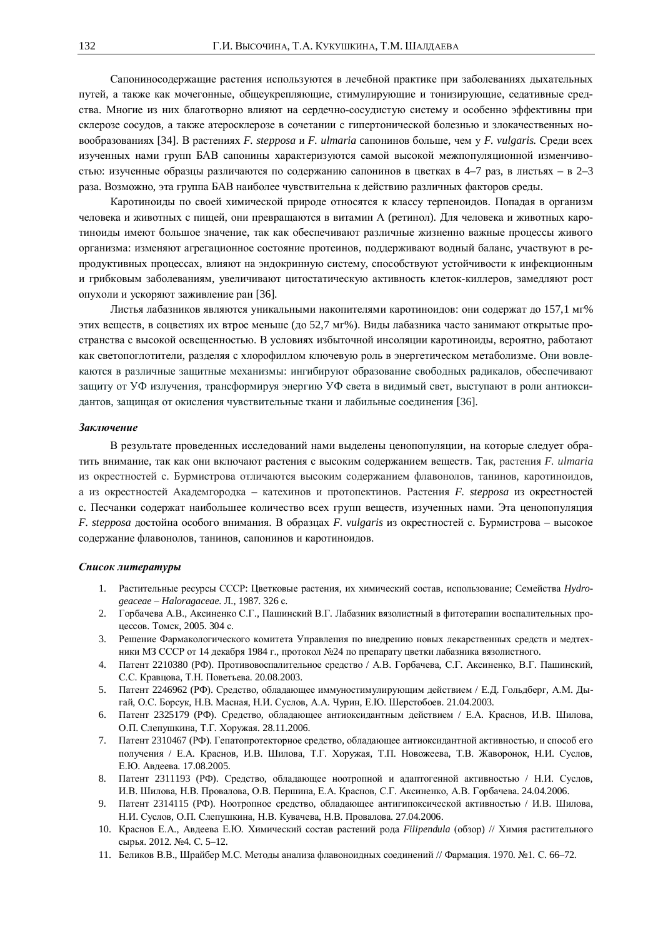Сапониносодержащие растения используются в лечебной практике при заболеваниях дыхательных путей, а также как мочегонные, общеукрепляющие, стимулирующие и тонизирующие, седативные средства. Многие из них благотворно влияют на сердечно-сосудистую систему и особенно эффективны при склерозе сосудов, а также атеросклерозе в сочетании с гипертонической болезнью и злокачественных новообразованиях [34]. В растениях *F. stepposa и F. ulmaria* сапонинов больше, чем у *F. vulgaris*. Среди всех изученных нами групп БАВ сапонины характеризуются самой высокой межпопуляционной изменчивостью: изученные образцы различаются по содержанию сапонинов в цветках в 4–7 раз, в листьях – в 2–3 раза. Возможно, эта группа БАВ наиболее чувствительна к действию различных факторов среды.

Каротиноиды по своей химической природе относятся к классу терпеноидов. Попадая в организм человека и животных с пищей, они превращаются в витамин А (ретинол). Для человека и животных каротиноиды имеют большое значение, так как обеспечивают различные жизненно важные процессы живого организма: изменяют агрегационное состояние протеинов, поддерживают водный баланс, участвуют в репродуктивных процессах, влияют на эндокринную систему, способствуют устойчивости к инфекционным и грибковым заболеваниям, увеличивают цитостатическую активность клеток-киллеров, замедляют рост опухоли и ускоряют заживление ран [36].

Листья лабазников являются уникальными накопителями каротиноидов: они содержат до 157,1 мг% этих веществ, в соцветиях их втрое меньше (до 52,7 мг%). Виды лабазника часто занимают открытые пространства с высокой освещенностью. В условиях избыточной инсоляции каротиноиды, вероятно, работают как светопоглотители, разделяя с хлорофиллом ключевую роль в энергетическом метаболизме. Они вовлекаются в различные защитные механизмы: ингибируют образование свободных радикалов, обеспечивают защиту от УФ излучения, трансформируя энергию УФ света в видимый свет, выступают в роли антиоксидантов, защищая от окисления чувствительные ткани и лабильные соединения [36].

#### Заключение

В результате проведенных исследований нами выделены ценопопуляции, на которые следует обратить внимание, так как они включают растения с высоким содержанием веществ. Так, растения F. ulmaria из окрестностей с. Бурмистрова отличаются высоким содержанием флавонолов, танинов, каротиноидов, а из окрестностей Академгородка – катехинов и протопектинов. Растения *F. stepposa* из окрестностей с. Песчанки содержат наибольшее количество всех групп веществ, изученных нами. Эта ценопопуляция *F. stepposa* достойна особого внимания. В образцах *F. vulgaris из* окрестностей с. Бурмистрова – высокое содержание флавонолов, танинов, сапонинов и каротиноидов.

#### $C$ писок литературы

- 1. Растительные ресурсы СССР: Цветковые растения, их химический состав, использование; Семейства Hydro*geaceae – Haloragaceae*. Ʌ., 1987. 326 ɫ.
- 2. Горбачева А.В., Аксиненко С.Г., Пашинский В.Г. Лабазник вязолистный в фитотерапии воспалительных процессов. Томск, 2005. 304 с.
- 3. Решение Фармакологического комитета Управления по внедрению новых лекарственных средств и медтехники МЗ СССР от 14 декабря 1984 г., протокол №24 по препарату цветки лабазника вязолистного.
- 4. Патент 2210380 (РФ). Противовоспалительное средство / А.В. Горбачева, С.Г. Аксиненко, В.Г. Пашинский, С.С. Кравцова, Т.Н. Поветьева. 20.08.2003.
- 5. Патент 2246962 (РФ). Средство, обладающее иммуностимулирующим действием / Е.Д. Гольдберг, А.М. Дыгай, О.С. Борсук, Н.В. Масная, Н.И. Суслов, А.А. Чурин, Е.Ю. Шерстобоев. 21.04.2003.
- 6. Патент 2325179 (РФ). Средство, обладающее антиоксидантным действием / Е.А. Краснов, И.В. Шилова, О.П. Слепушкина, Т.Г. Хоружая. 28.11.2006.
- 7. Патент 2310467 (РФ). Гепатопротекторное средство, обладающее антиоксидантной активностью, и способ его получения / Е.А. Краснов, И.В. Шилова, Т.Г. Хоружая, Т.П. Новожеева, Т.В. Жаворонок, Н.И. Суслов, Е.Ю. Авдеева. 17.08.2005.
- 8. Патент 2311193 (РФ). Средство, обладающее ноотропной и адаптогенной активностью / Н.И. Суслов. И.В. Шилова, Н.В. Провалова, О.В. Першина, Е.А. Краснов, С.Г. Аксиненко, А.В. Горбачева, 24.04.2006.
- 9. Патент 2314115 (РФ). Ноотропное средство, обладающее антигипоксической активностью / И.В. Шилова, Н.И. Суслов, О.П. Слепушкина, Н.В. Кувачева, Н.В. Провалова. 27.04.2006.
- 10. Краснов Е.А., Авдеева Е.Ю. Химический состав растений рода Filipendula (обзор) // Химия растительного сырья. 2012. №4. С. 5–12.
- 11. Беликов В.В., Шрайбер М.С. Методы анализа флавоноидных соединений // Фармация. 1970. №1. С. 66–72.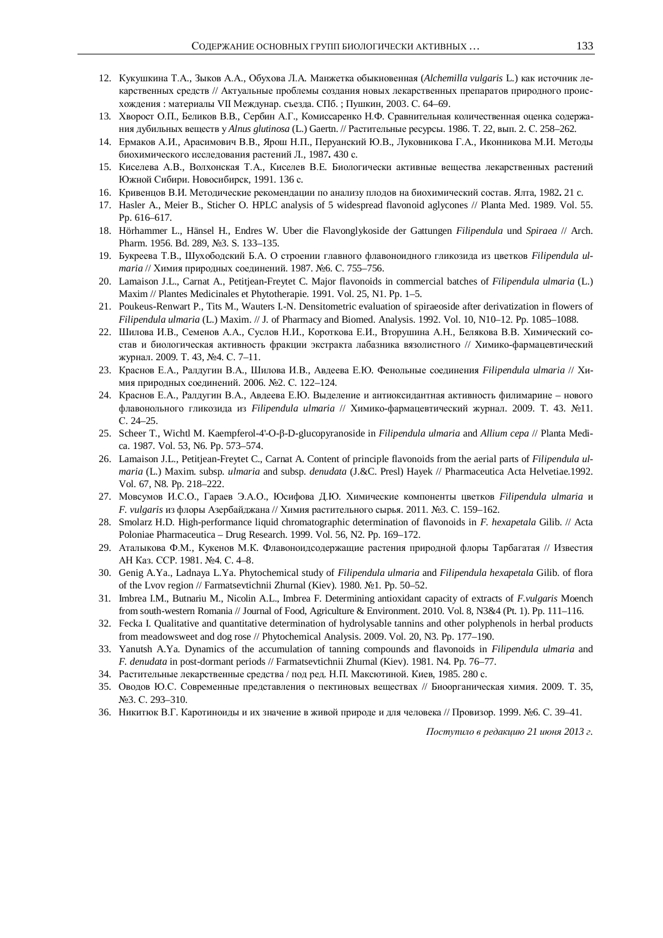- 12. Кукушкина Т.А., Зыков А.А., Обухова Л.А. Манжетка обыкновенная (Alchemilla vulgaris L.) как источник лекарственных средств // Актуальные проблемы создания новых лекарственных препаратов природного происхождения : материалы VII Междунар. съезда. СПб. ; Пушкин, 2003. С. 64–69.
- 13. Хворост О.П., Беликов В.В., Сербин А.Г., Комиссаренко Н.Ф. Сравнительная количественная оценка содержания дубильных веществ у Alnus glutinosa (L.) Gaertn. // Растительные ресурсы. 1986. Т. 22, вып. 2. С. 258–262.
- 14. Ермаков А.И., Арасимович В.В., Ярош Н.П., Перуанский Ю.В., Луковникова Г.А., Иконникова М.И. Методы биохимического исследования растений Л., 1987. 430 с.
- 15. Киселева А.В., Волхонская Т.А., Киселев В.Е. Биологически активные вещества лекарственных растений Южной Сибири. Новосибирск, 1991. 136 с.
- 16. Кривенцов В.И. Методические рекомендации по анализу плодов на биохимический состав. Ялта, 1982. 21 с.
- 17. Hasler A., Meier B., Sticher O. HPLC analysis of 5 widespread flavonoid aglycones // Planta Med. 1989. Vol. 55. Pp. 616–617.
- 18. Hörhammer L., Hänsel H., Endres W. Uber die Flavonglykoside der Gattungen *Filipendula* und *Spiraea* // Arch. Pharm. 1956. Bd. 289, No3. S. 133-135.
- 19. Букреева Т.В., Шухободский Б.А. О строении главного флавоноидного гликозида из цветков Filipendula ul*maria* // Химия природных соединений. 1987. №6. С. 755–756.
- 20. Lamaison J.L., Carnat A., Petitjean-Freytet C. Major flavonoids in commercial batches of *Filipendula ulmaria* (L.) Maxim // Plantes Medicinales et Phytotherapie. 1991. Vol. 25, N1. Pp. 1–5.
- 21. Poukeus-Renwart P., Tits M., Wauters I.-N. Densitometric evaluation of spiraeoside after derivatization in flowers of *Filipendula ulmaria* (L.) Maxim. // J. of Pharmacy and Biomed. Analysis. 1992. Vol. 10, N10–12. Pp. 1085–1088.
- 22. Шилова И.В., Семенов А.А., Суслов Н.И., Короткова Е.И., Вторушина А.Н., Белякова В.В. Химический состав и биологическая активность фракции экстракта лабазника вязолистного // Химико-фармацевтический журнал. 2009. Т. 43, №4. С. 7-11.
- 23. Краснов Е.А., Ралдугин В.А., Шилова И.В., Авдеева Е.Ю. Фенольные соединения Filipendula ulmaria // Химия природных соединений. 2006. №2. С. 122-124.
- 24. Краснов Е.А., Ралдугин В.А., Авдеева Е.Ю. Выделение и антиоксидантная активность филимарине нового флавонольного гликозида из Filipendula ulmaria // Химико-фармацевтический журнал. 2009. Т. 43. №11. ɋ. 24–25.
- 25. Scheer T., Wichtl M. Kaempferol-4'-O-ß-D-glucopyranoside in *Filipendula ulmaria* and *Allium cepa* // Planta Medica. 1987. Vol. 53, N6. Pp. 573–574.
- 26. Lamaison J.L., Petitjean-Freytet C., Carnat A. Content of principle flavonoids from the aerial parts of *Filipendula ulmaria* (L.) Maxim. subsp. *ulmaria* and subsp. *denudata* (J.&C. Presl) Hayek // Pharmaceutica Acta Helvetiae.1992. Vol. 67, N8. Pp. 218–222.
- 27. Мовсумов И.С.О., Гараев Э.А.О., Юсифова Д.Ю. Химические компоненты цветков Filipendula ulmaria и *F. vulgaris из* флоры Азербайджана // Химия растительного сырья. 2011. №3. С. 159–162.
- 28. Smolarz H.D. High-performance liquid chromatographic determination of flavonoids in *F. hexapetala* Gilib. // Acta Poloniae Pharmaceutica – Drug Research. 1999. Vol. 56, N2. Pp. 169–172.
- 29. Аталыкова Ф.М., Кукенов М.К. Флавоноидсодержащие растения природной флоры Тарбагатая // Известия AH Kas. CCP. 1981. №4. C. 4-8.
- 30. Genig A.Ya., Ladnaya L.Ya. Phytochemical study of *Filipendula ulmaria* and *Filipendula hexapetala* Gilib. of flora of the Lvov region // Farmatsevtichnii Zhurnal (Kiev). 1980. №1. Pp. 50–52.
- 31. Imbrea I.M., Butnariu M., Nicolin A.L., Imbrea F. Determining antioxidant capacity of extracts of *F.vulgaris* Moench from south-western Romania // Journal of Food, Agriculture & Environment. 2010. Vol. 8, N3&4 (Pt. 1). Pp. 111–116.
- 32. Fecka I. Qualitative and quantitative determination of hydrolysable tannins and other polyphenols in herbal products from meadowsweet and dog rose // Phytochemical Analysis. 2009. Vol. 20, N3. Pp. 177–190.
- 33. Yanutsh A.Ya. Dynamics of the accumulation of tanning compounds and flavonoids in *Filipendula ulmaria* and *F. denudata* in post-dormant periods // Farmatsevtichnii Zhurnal (Kiev). 1981. N4. Pp. 76–77.
- 34. Растительные лекарственные средства / под ред. Н.П. Максютиной. Киев, 1985. 280 с.
- 35. Оводов Ю.С. Современные представления о пектиновых веществах // Биоорганическая химия. 2009. Т. 35, No.3. C. 293-310.
- 36. Никитюк В.Г. Каротиноиды и их значение в живой природе и для человека // Провизор. 1999. №6. С. 39–41.

 $\Lambda$ *Zоступило в редакцию 21 июня 2013 г.*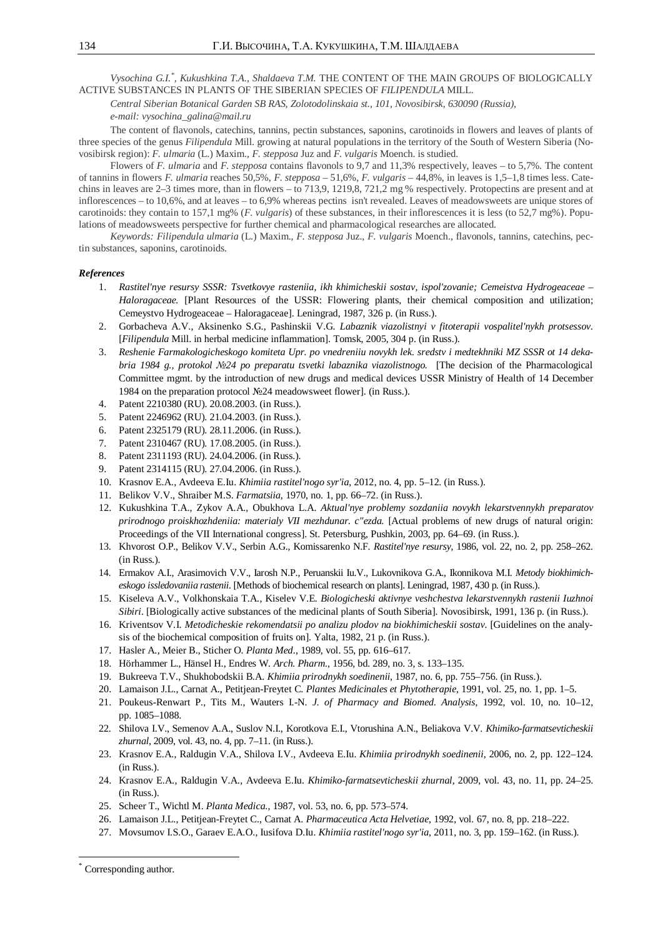*Vysochina G.I.\* , Kukushkina T.A., Shaldaeva T.M.* THE ɋONTENT OF THE MAIN GROUPS OF BIOLOGICALLY ACTIVE SUBSTANCES IN PLANTS OF THE SIBERIAN SPECIES OF *FILIPENDULA* MILL.

*Central Siberian Botanical Garden SB RAS, Zolotodolinskaia st., 101, Novosibirsk, 630090 (Russia),* 

*e-mail: vysochina\_galina@mail.ru* 

The content of flavonols, catechins, tannins, pectin substances, saponins, carotinoids in flowers and leaves of plants of three species of the genus *Filipendula* Mill. growing at natural populations in the territory of the South of Western Siberia (Novosibirsk region): *F. ulmaria* (L.) Maxim., *F. stepposa* Juz and *F. vulgaris* Moench. is studied.

Flowers of *F. ulmaria* and *F. stepposa* contains flavonols to 9,7 and 11,3% respectively, leaves – to 5,7%. The content of tannins in flowers *F. ulmaria* reaches 50,5%, *F. stepposa* – 51,6%, *F. vulgaris* – 44,8%, in leaves is 1,5–1,8 times less. Catechins in leaves are 2–3 times more, than in flowers – to 713,9, 1219,8, 721,2 mg % respectively. Protopectins are present and at inflorescences – to 10,6%, and at leaves – to 6,9% whereas pectins isn't revealed. Leaves of meadowsweets are unique stores of carotinoids: they contain to 157,1 mg% (*F. vulgaris*) of these substances, in their inflorescences it is less (to 52,7 mg%). Populations of meadowsweets perspective for further chemical and pharmacological researches are allocated.

*Keywords: Filipendula ulmaria* (L.) Maxim., *F. stepposa* Juz., *F. vulgaris* Moench., flavonols, tannins, catechins, pectin substances, saponins, carotinoids.

#### *References*

- 1. *Rastitel'nye resursy SSSR: Tsvetkovye rasteniia, ikh khimicheskii sostav, ispol'zovanie; Cemeistva Hydrogeaceae Haloragaceae.* [Plant Resources of the USSR: Flowering plants, their chemical composition and utilization; Cemeystvo Hydrogeaceae – Haloragaceae]. Leningrad, 1987, 326 p. (in Russ.).
- 2. Gorbacheva A.V., Aksinenko S.G., Pashinskii V.G. *Labaznik viazolistnyi v fitoterapii vospalitel'nykh protsessov.*  [*Filipendula* Mill. in herbal medicine inflammation]. Tomsk, 2005, 304 p. (in Russ.).
- 3. *Reshenie Farmakologicheskogo komiteta Upr. po vnedreniiu novykh lek. sredstv i medtekhniki MZ SSSR ot 14 dekabria 1984 g., protokol ʋ24 po preparatu tsvetki labaznika viazolistnogo.* [The decision of the Pharmacological Committee mgmt. by the introduction of new drugs and medical devices USSR Ministry of Health of 14 December 1984 on the preparation protocol  $\mathcal{N}24$  meadowsweet flower]. (in Russ.).
- 4. Patent 2210380 (RU). 20.08.2003. (in Russ.).
- 5. Patent 2246962 (RU). 21.04.2003. (in Russ.).
- 6. Patent 2325179 (RU). 28.11.2006. (in Russ.).
- 7. Patent 2310467 (RU). 17.08.2005. (in Russ.).
- 8. Patent 2311193 (RU). 24.04.2006. (in Russ.).
- 9. Patent 2314115 (RU). 27.04.2006. (in Russ.).
- 10. Krasnov E.A., Avdeeva E.Iu. *Khimiia rastitel'nogo syr'ia*, 2012, no. 4, pp. 5–12. (in Russ.).
- 11. Belikov V.V., Shraiber M.S. *Farmatsiia*, 1970, no. 1, pp. 66–72. (in Russ.).
- 12. Kukushkina T.A., Zykov A.A., Obukhova L.A. *Aktual'nye problemy sozdaniia novykh lekarstvennykh preparatov prirodnogo proiskhozhdeniia: materialy VII mezhdunar. c"ezda.* [Actual problems of new drugs of natural origin: Proceedings of the VII International congress]. St. Petersburg, Pushkin, 2003, pp. 64–69. (in Russ.).
- 13. Khvorost O.P., Belikov V.V., Serbin A.G., Komissarenko N.F. *Rastitel'nye resursy*, 1986, vol. 22, no. 2, pp. 258–262. (in Russ.).
- 14. Ermakov A.I., Arasimovich V.V., Iarosh N.P., Peruanskii Iu.V., Lukovnikova G.A., Ikonnikova M.I. *Metody biokhimicheskogo issledovaniia rastenii.* [Methods of biochemical research on plants]. Leningrad, 1987, 430 p. (in Russ.).
- 15. Kiseleva A.V., Volkhonskaia T.A., Kiselev V.E. *Biologicheski aktivnye veshchestva lekarstvennykh rastenii Iuzhnoi Sibiri*. [Biologically active substances of the medicinal plants of South Siberia]. Novosibirsk, 1991, 136 p. (in Russ.).
- 16. Kriventsov V.I. *Metodicheskie rekomendatsii po analizu plodov na biokhimicheskii sostav*. [Guidelines on the analysis of the biochemical composition of fruits on]. Yalta, 1982, 21 p. (in Russ.).
- 17. Hasler A., Meier B., Sticher O. *Planta Med*., 1989, vol. 55, pp. 616–617.
- 18. Hörhammer L., Hänsel H., Endres W. *Arch. Pharm.*, 1956, bd. 289, no. 3, s. 133–135.
- 19. Bukreeva T.V., Shukhobodskii B.A. *Khimiia prirodnykh soedinenii*, 1987, no. 6, pp. 755–756. (in Russ.).
- 20. Lamaison J.L., Carnat A., Petitjean-Freytet C. *Plantes Medicinales et Phytotherapie*, 1991, vol. 25, no. 1, pp. 1–5.
- 21. Poukeus-Renwart P., Tits M., Wauters I.-N. *J. of Pharmacy and Biomed. Analysis*, 1992, vol. 10, no. 10–12, pp. 1085–1088.
- 22. Shilova I.V., Semenov A.A., Suslov N.I., Korotkova E.I., Vtorushina A.N., Beliakova V.V. *Khimiko-farmatsevticheskii zhurnal*, 2009, vol. 43, no. 4, pp. 7–11. (in Russ.).
- 23. Krasnov E.A., Raldugin V.A., Shilova I.V., Avdeeva E.Iu. *Khimiia prirodnykh soedinenii*, 2006, no. 2, pp. 122–124. (in Russ.).
- 24. Krasnov E.A., Raldugin V.A., Avdeeva E.Iu. *Khimiko-farmatsevticheskii zhurnal*, 2009, vol. 43, no. 11, pp. 24–25. (in Russ.).
- 25. Scheer T., Wichtl M. *Planta Medica*., 1987, vol. 53, no. 6, pp. 573–574.
- 26. Lamaison J.L., Petitjean-Freytet C., Carnat A. *Pharmaceutica Acta Helvetiae*, 1992, vol. 67, no. 8, pp. 218–222.
- 27. Movsumov I.S.O., Garaev E.A.O., Iusifova D.Iu. *Khimiia rastitel'nogo syr'ia*, 2011, no. 3, pp. 159–162. (in Russ.).

 $\overline{a}$ 

<sup>\*</sup> Corresponding author.